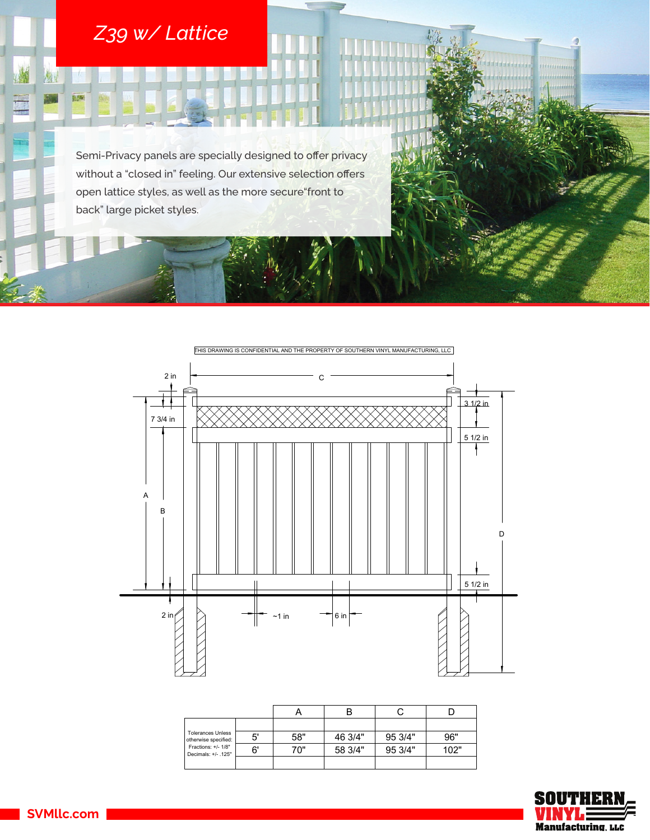## *Z39 w/ Lattice*

(4)

圆路

Semi-Privacy panels are specially designed to offer privacy without a "closed in" feeling. Our extensive selection offers open lattice styles, as well as the more secure"front to back" large picket styles.



| <b>Tolerances Unless</b><br>otherwise specified:<br>Fractions: +/- 1/8"<br>Decimals: +/- .125" |    |     |         |         |      |
|------------------------------------------------------------------------------------------------|----|-----|---------|---------|------|
|                                                                                                | 5' | 58" | 46 3/4" | 95 3/4" | 96"  |
|                                                                                                | 6' | 70" | 58 3/4" | 95 3/4" | 102" |
|                                                                                                |    |     |         |         |      |



mminin

SVMllc.com